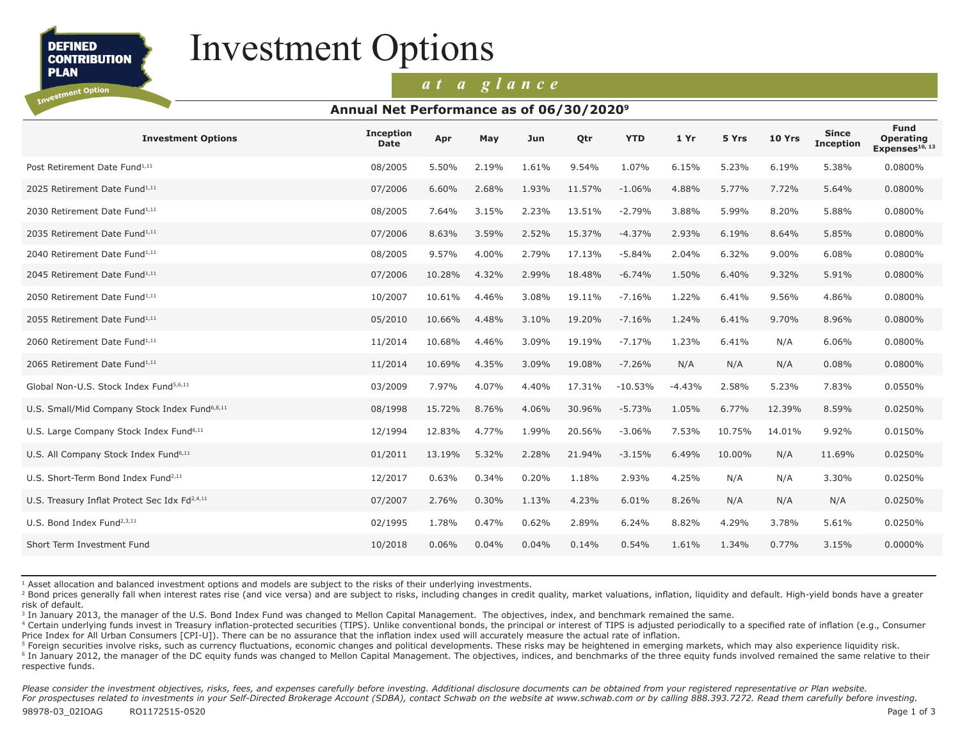**DEFINED CONTRIBUTION PLAN** 

Investment Option

# Investment Options

### *at a glance*

#### **Annual Net Performance as of 06/30/20209**

| <b>Investment Options</b>                                 | <b>Inception</b><br><b>Date</b> | Apr    | May   | Jun   | Qtr    | <b>YTD</b> | 1 Yr     | 5 Yrs  | 10 Yrs | <b>Since</b><br><b>Inception</b> | <b>Fund</b><br><b>Operating</b><br>Expenses <sup>10, 13</sup> |
|-----------------------------------------------------------|---------------------------------|--------|-------|-------|--------|------------|----------|--------|--------|----------------------------------|---------------------------------------------------------------|
| Post Retirement Date Fund <sup>1,11</sup>                 | 08/2005                         | 5.50%  | 2.19% | 1.61% | 9.54%  | 1.07%      | 6.15%    | 5.23%  | 6.19%  | 5.38%                            | 0.0800%                                                       |
| 2025 Retirement Date Fund <sup>1,11</sup>                 | 07/2006                         | 6.60%  | 2.68% | 1.93% | 11.57% | $-1.06%$   | 4.88%    | 5.77%  | 7.72%  | 5.64%                            | 0.0800%                                                       |
| 2030 Retirement Date Fund <sup>1,11</sup>                 | 08/2005                         | 7.64%  | 3.15% | 2.23% | 13.51% | $-2.79%$   | 3.88%    | 5.99%  | 8.20%  | 5.88%                            | 0.0800%                                                       |
| 2035 Retirement Date Fund <sup>1,11</sup>                 | 07/2006                         | 8.63%  | 3.59% | 2.52% | 15.37% | $-4.37%$   | 2.93%    | 6.19%  | 8.64%  | 5.85%                            | 0.0800%                                                       |
| 2040 Retirement Date Fund <sup>1,11</sup>                 | 08/2005                         | 9.57%  | 4.00% | 2.79% | 17.13% | $-5.84%$   | 2.04%    | 6.32%  | 9.00%  | 6.08%                            | 0.0800%                                                       |
| 2045 Retirement Date Fund <sup>1,11</sup>                 | 07/2006                         | 10.28% | 4.32% | 2.99% | 18.48% | $-6.74%$   | 1.50%    | 6.40%  | 9.32%  | 5.91%                            | 0.0800%                                                       |
| 2050 Retirement Date Fund <sup>1,11</sup>                 | 10/2007                         | 10.61% | 4.46% | 3.08% | 19.11% | $-7.16%$   | 1.22%    | 6.41%  | 9.56%  | 4.86%                            | 0.0800%                                                       |
| 2055 Retirement Date Fund <sup>1,11</sup>                 | 05/2010                         | 10.66% | 4.48% | 3.10% | 19.20% | $-7.16%$   | 1.24%    | 6.41%  | 9.70%  | 8.96%                            | 0.0800%                                                       |
| 2060 Retirement Date Fund <sup>1,11</sup>                 | 11/2014                         | 10.68% | 4.46% | 3.09% | 19.19% | $-7.17%$   | 1.23%    | 6.41%  | N/A    | 6.06%                            | 0.0800%                                                       |
| 2065 Retirement Date Fund <sup>1,11</sup>                 | 11/2014                         | 10.69% | 4.35% | 3.09% | 19.08% | $-7.26%$   | N/A      | N/A    | N/A    | 0.08%                            | 0.0800%                                                       |
| Global Non-U.S. Stock Index Fund <sup>5,6,11</sup>        | 03/2009                         | 7.97%  | 4.07% | 4.40% | 17.31% | $-10.53%$  | $-4.43%$ | 2.58%  | 5.23%  | 7.83%                            | 0.0550%                                                       |
| U.S. Small/Mid Company Stock Index Fund <sup>6,8,11</sup> | 08/1998                         | 15.72% | 8.76% | 4.06% | 30.96% | $-5.73%$   | 1.05%    | 6.77%  | 12.39% | 8.59%                            | 0.0250%                                                       |
| U.S. Large Company Stock Index Fund <sup>6,11</sup>       | 12/1994                         | 12.83% | 4.77% | 1.99% | 20.56% | $-3.06%$   | 7.53%    | 10.75% | 14.01% | 9.92%                            | 0.0150%                                                       |
| U.S. All Company Stock Index Fund <sup>6,11</sup>         | 01/2011                         | 13.19% | 5.32% | 2.28% | 21.94% | $-3.15%$   | 6.49%    | 10.00% | N/A    | 11.69%                           | 0.0250%                                                       |
| U.S. Short-Term Bond Index Fund <sup>2,11</sup>           | 12/2017                         | 0.63%  | 0.34% | 0.20% | 1.18%  | 2.93%      | 4.25%    | N/A    | N/A    | 3.30%                            | 0.0250%                                                       |
| U.S. Treasury Inflat Protect Sec Idx Fd <sup>2,4,11</sup> | 07/2007                         | 2.76%  | 0.30% | 1.13% | 4.23%  | 6.01%      | 8.26%    | N/A    | N/A    | N/A                              | 0.0250%                                                       |
| U.S. Bond Index Fund <sup>2,3,11</sup>                    | 02/1995                         | 1.78%  | 0.47% | 0.62% | 2.89%  | 6.24%      | 8.82%    | 4.29%  | 3.78%  | 5.61%                            | 0.0250%                                                       |
| Short Term Investment Fund                                | 10/2018                         | 0.06%  | 0.04% | 0.04% | 0.14%  | 0.54%      | 1.61%    | 1.34%  | 0.77%  | 3.15%                            | 0.0000%                                                       |
|                                                           |                                 |        |       |       |        |            |          |        |        |                                  |                                                               |

<sup>1</sup> Asset allocation and balanced investment options and models are subject to the risks of their underlying investments.

<sup>2</sup> Bond prices generally fall when interest rates rise (and vice versa) and are subject to risks, including changes in credit quality, market valuations, inflation, liquidity and default. High-yield bonds have a greater risk of default.

<sup>3</sup> In January 2013, the manager of the U.S. Bond Index Fund was changed to Mellon Capital Management. The objectives, index, and benchmark remained the same.

<sup>4</sup> Certain underlying funds invest in Treasury inflation-protected securities (TIPS). Unlike conventional bonds, the principal or interest of TIPS is adjusted periodically to a specified rate of inflation (e.g., Consumer Price Index for All Urban Consumers [CPI-U]). There can be no assurance that the inflation index used will accurately measure the actual rate of inflation.

<sup>5</sup> Foreign securities involve risks, such as currency fluctuations, economic changes and political developments. These risks may be heightened in emerging markets, which may also experience liquidity risk.

<sup>6</sup> In January 2012, the manager of the DC equity funds was changed to Mellon Capital Management. The objectives, indices, and benchmarks of the three equity funds involved remained the same relative to their respective funds.

Please consider the investment objectives, risks, fees, and expenses carefully before investing. Additional disclosure documents can be obtained from your registered representative or Plan website. *For prospectuses related to investments in your Self-Directed Brokerage Account (SDBA), contact Schwab on the website at www.schwab.com or by calling 888.393.7272. Read them carefully before investing.*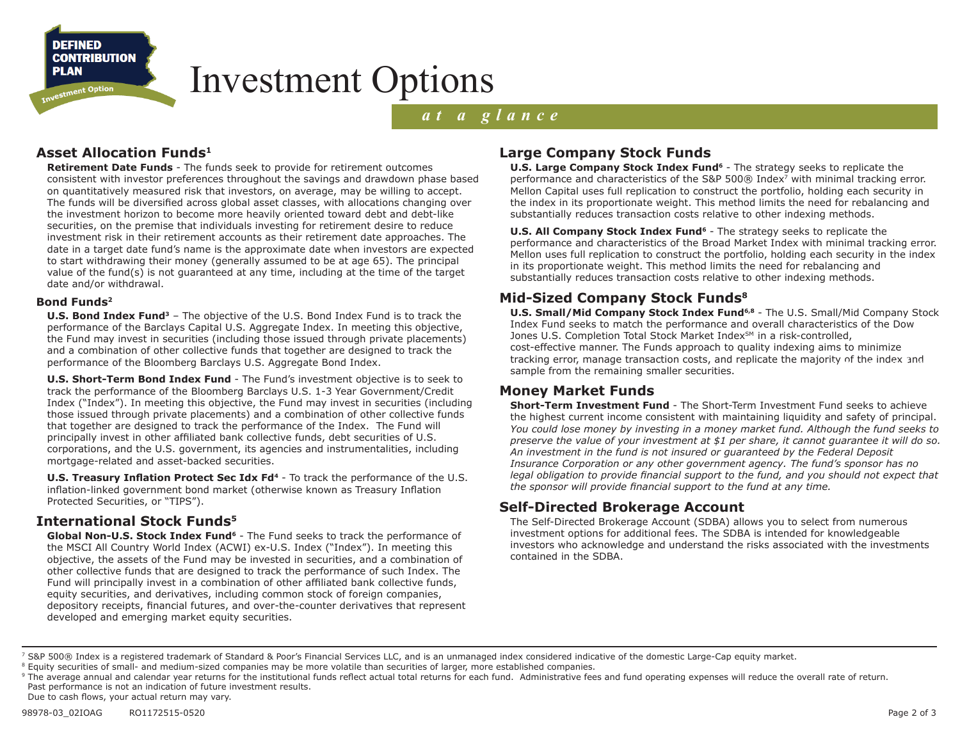**DEFINED CONTRIBUTION PLAN** 

stment Option

## Investment Options

### *at a glance*

### **Asset Allocation Funds1**

**Retirement Date Funds** - The funds seek to provide for retirement outcomes consistent with investor preferences throughout the savings and drawdown phase based on quantitatively measured risk that investors, on average, may be willing to accept. The funds will be diversified across global asset classes, with allocations changing over the investment horizon to become more heavily oriented toward debt and debt-like securities, on the premise that individuals investing for retirement desire to reduce investment risk in their retirement accounts as their retirement date approaches. The date in a target date fund's name is the approximate date when investors are expected to start withdrawing their money (generally assumed to be at age 65). The principal value of the fund(s) is not guaranteed at any time, including at the time of the target date and/or withdrawal.

#### **Bond Funds2**

**U.S. Bond Index Fund3** – The objective of the U.S. Bond Index Fund is to track the performance of the Barclays Capital U.S. Aggregate Index. In meeting this objective, the Fund may invest in securities (including those issued through private placements) and a combination of other collective funds that together are designed to track the performance of the Bloomberg Barclays U.S. Aggregate Bond Index.

**U.S. Short-Term Bond Index Fund** - The Fund's investment objective is to seek to track the performance of the Bloomberg Barclays U.S. 1-3 Year Government/Credit Index ("Index"). In meeting this objective, the Fund may invest in securities (including those issued through private placements) and a combination of other collective funds that together are designed to track the performance of the Index. The Fund will principally invest in other affiliated bank collective funds, debt securities of U.S. corporations, and the U.S. government, its agencies and instrumentalities, including mortgage-related and asset-backed securities.

**U.S. Treasury Inflation Protect Sec Idx Fd<sup>4</sup>** - To track the performance of the U.S. inflation-linked government bond market (otherwise known as Treasury Inflation Protected Securities, or "TIPS").

#### **International Stock Funds5**

Global Non-U.S. Stock Index Fund<sup>6</sup> - The Fund seeks to track the performance of the MSCI All Country World Index (ACWI) ex-U.S. Index ("Index"). In meeting this objective, the assets of the Fund may be invested in securities, and a combination of other collective funds that are designed to track the performance of such Index. The Fund will principally invest in a combination of other affiliated bank collective funds, equity securities, and derivatives, including common stock of foreign companies, depository receipts, financial futures, and over-the-counter derivatives that represent developed and emerging market equity securities.

#### **Large Company Stock Funds**

**U.S. Large Company Stock Index Fund<sup>6</sup>** - The strategy seeks to replicate the performance and characteristics of the S&P 500 $\odot$  Index<sup>7</sup> with minimal tracking error. Mellon Capital uses full replication to construct the portfolio, holding each security in the index in its proportionate weight. This method limits the need for rebalancing and substantially reduces transaction costs relative to other indexing methods.

**U.S. All Company Stock Index Fund<sup>6</sup>** - The strategy seeks to replicate the performance and characteristics of the Broad Market Index with minimal tracking error. Mellon uses full replication to construct the portfolio, holding each security in the index in its proportionate weight. This method limits the need for rebalancing and substantially reduces transaction costs relative to other indexing methods.

#### **Mid-Sized Company Stock Funds8**

**U.S. Small/Mid Company Stock Index Fund6,8** - The U.S. Small/Mid Company Stock Index Fund seeks to match the performance and overall characteristics of the Dow Jones U.S. Completion Total Stock Market Index<sup>SM</sup> in a risk-controlled, cost-effective manner. The Funds approach to quality indexing aims to minimize tracking error, manage transaction costs, and replicate the majority of the index and<br>sample from the remaining smaller securities. sample from the remaining smaller securities.

#### **Money Market Funds**

**Short-Term Investment Fund** - The Short-Term Investment Fund seeks to achieve the highest current income consistent with maintaining liquidity and safety of principal. *You could lose money by investing in a money market fund. Although the fund seeks to preserve the value of your investment at \$1 per share, it cannot guarantee it will do so. An investment in the fund is not insured or guaranteed by the Federal Deposit Insurance Corporation or any other government agency. The fund's sponsor has no legal obligation to provide financial support to the fund, and you should not expect that the sponsor will provide financial support to the fund at any time.*

#### **Self-Directed Brokerage Account**

The Self-Directed Brokerage Account (SDBA) allows you to select from numerous investment options for additional fees. The SDBA is intended for knowledgeable investors who acknowledge and understand the risks associated with the investments contained in the SDBA.

<sup>&</sup>lt;sup>7</sup> S&P 500® Index is a registered trademark of Standard & Poor's Financial Services LLC, and is an unmanaged index considered indicative of the domestic Large-Cap equity market.

<sup>&</sup>lt;sup>8</sup> Equity securities of small- and medium-sized companies may be more volatile than securities of larger, more established companies.

<sup>&</sup>lt;sup>9</sup> The average annual and calendar year returns for the institutional funds reflect actual total returns for each fund. Administrative fees and fund operating expenses will reduce the overall rate of return. Past performance is not an indication of future investment results.

Due to cash flows, your actual return may vary.